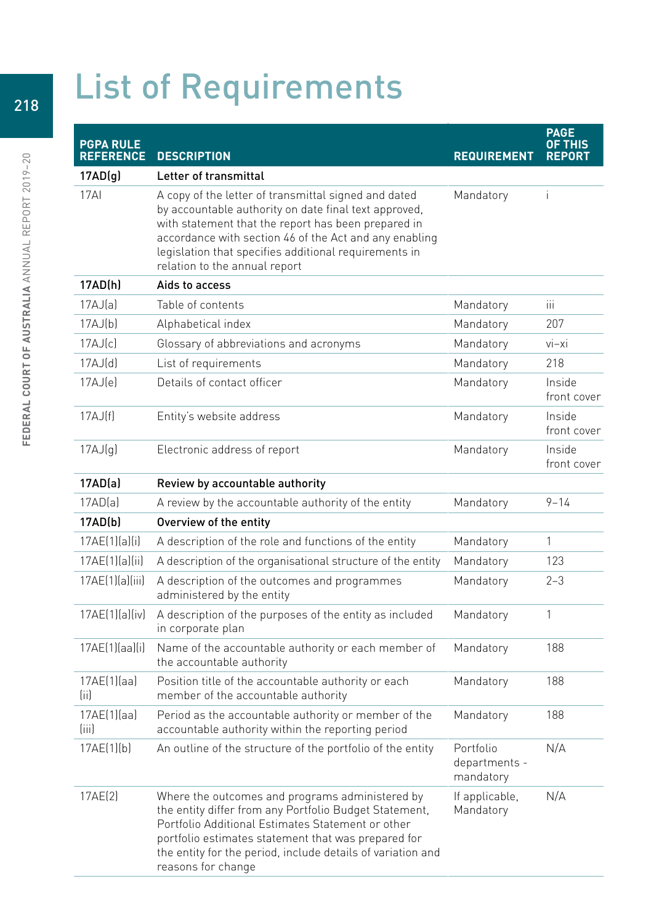## List of Requirements

| <b>PGPA RULE</b><br><b>REFERENCE</b> | <b>DESCRIPTION</b>                                                                                                                                                                                                                                                                                                       | <b>REQUIREMENT</b>                      | <b>PAGE</b><br><u>OF THIS</u><br><b>REPORT</b> |
|--------------------------------------|--------------------------------------------------------------------------------------------------------------------------------------------------------------------------------------------------------------------------------------------------------------------------------------------------------------------------|-----------------------------------------|------------------------------------------------|
| 17AD(g)                              | Letter of transmittal                                                                                                                                                                                                                                                                                                    |                                         |                                                |
| 17AI                                 | A copy of the letter of transmittal signed and dated<br>by accountable authority on date final text approved,<br>with statement that the report has been prepared in<br>accordance with section 46 of the Act and any enabling<br>legislation that specifies additional requirements in<br>relation to the annual report | Mandatory                               | Ť                                              |
| 17AD(h)                              | Aids to access                                                                                                                                                                                                                                                                                                           |                                         |                                                |
| 17AJ(a)                              | Table of contents                                                                                                                                                                                                                                                                                                        | Mandatory                               | ïй                                             |
| 17AJ(b)                              | Alphabetical index                                                                                                                                                                                                                                                                                                       | Mandatory                               | 207                                            |
| 17AJ(c)                              | Glossary of abbreviations and acronyms                                                                                                                                                                                                                                                                                   | Mandatory                               | $vi-xi$                                        |
| 17AJ(d)                              | List of requirements                                                                                                                                                                                                                                                                                                     | Mandatory                               | 218                                            |
| 17AJ(e)                              | Details of contact officer                                                                                                                                                                                                                                                                                               | Mandatory                               | Inside<br>front cover                          |
| 17AJ(f)                              | Entity's website address                                                                                                                                                                                                                                                                                                 | Mandatory                               | Inside<br>front cover                          |
| 17AJ(g)                              | Electronic address of report                                                                                                                                                                                                                                                                                             | Mandatory                               | Inside<br>front cover                          |
| 17AD(a)                              | Review by accountable authority                                                                                                                                                                                                                                                                                          |                                         |                                                |
| 17AD(a)                              | A review by the accountable authority of the entity                                                                                                                                                                                                                                                                      | Mandatory                               | $9 - 14$                                       |
| 17AD(b)                              | Overview of the entity                                                                                                                                                                                                                                                                                                   |                                         |                                                |
| 17AE(1)(a)(i)                        | A description of the role and functions of the entity                                                                                                                                                                                                                                                                    | Mandatory                               | 1                                              |
| 17AE(1)(a)(ii)                       | A description of the organisational structure of the entity                                                                                                                                                                                                                                                              | Mandatory                               | 123                                            |
| 17AE(1)(a)(iii)                      | A description of the outcomes and programmes<br>administered by the entity                                                                                                                                                                                                                                               | Mandatory                               | $2 - 3$                                        |
| 17AE(1)(a)(iv)                       | A description of the purposes of the entity as included<br>in corporate plan                                                                                                                                                                                                                                             | Mandatory                               | 1                                              |
| 17AE(1)(aa)(i)                       | Name of the accountable authority or each member of<br>the accountable authority                                                                                                                                                                                                                                         | Mandatory                               | 188                                            |
| 17AE(1)(aa)<br>(ii)                  | Position title of the accountable authority or each<br>member of the accountable authority                                                                                                                                                                                                                               | Mandatory                               | 188                                            |
| 17AE[1][aa]<br>(iii)                 | Period as the accountable authority or member of the<br>accountable authority within the reporting period                                                                                                                                                                                                                | Mandatory                               | 188                                            |
| 17AE(1)[b]                           | An outline of the structure of the portfolio of the entity                                                                                                                                                                                                                                                               | Portfolio<br>departments -<br>mandatory | N/A                                            |
| 17AE(2)                              | Where the outcomes and programs administered by<br>the entity differ from any Portfolio Budget Statement,<br>Portfolio Additional Estimates Statement or other<br>portfolio estimates statement that was prepared for<br>the entity for the period, include details of variation and<br>reasons for change               | If applicable,<br>Mandatory             | N/A                                            |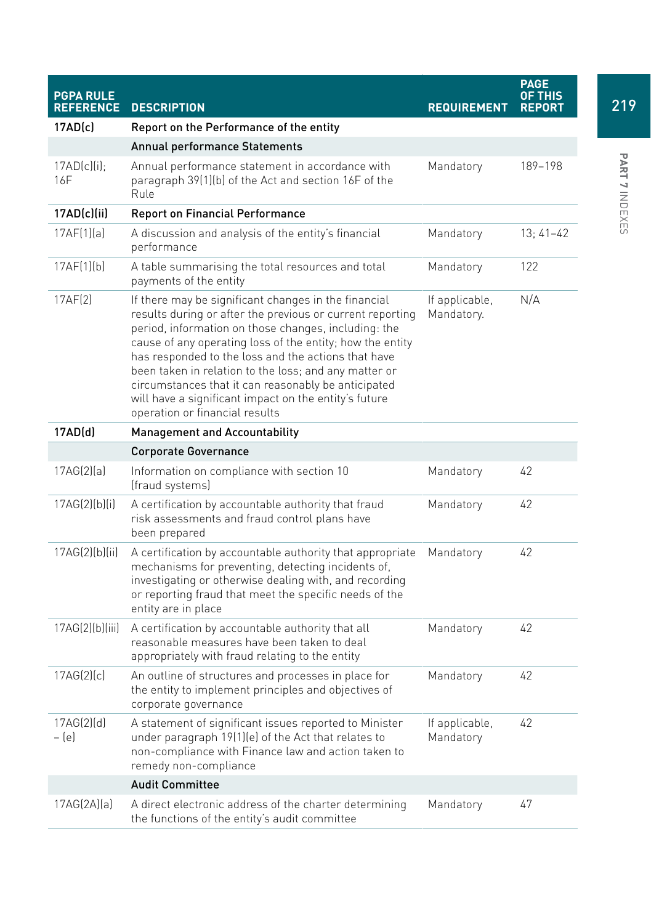| <b>PGPA RULE</b><br><b>REFERENCE</b> | <b>DESCRIPTION</b>                                                                                                                                                                                                                                                                                                                                                                                                                                                                                       | <b>REQUIREMENT</b>           | <b>PAGE</b><br><b>OF THIS</b><br><b>REPORT</b> |
|--------------------------------------|----------------------------------------------------------------------------------------------------------------------------------------------------------------------------------------------------------------------------------------------------------------------------------------------------------------------------------------------------------------------------------------------------------------------------------------------------------------------------------------------------------|------------------------------|------------------------------------------------|
| 17AD(c)                              | Report on the Performance of the entity                                                                                                                                                                                                                                                                                                                                                                                                                                                                  |                              |                                                |
|                                      | Annual performance Statements                                                                                                                                                                                                                                                                                                                                                                                                                                                                            |                              |                                                |
| $17AD(c)(i)$ :<br>16F                | Annual performance statement in accordance with<br>paragraph 39(1)(b) of the Act and section 16F of the<br>Rule                                                                                                                                                                                                                                                                                                                                                                                          | Mandatory                    | 189-198                                        |
| 17AD(c)(ii)                          | <b>Report on Financial Performance</b>                                                                                                                                                                                                                                                                                                                                                                                                                                                                   |                              |                                                |
| 17AF[1][a]                           | A discussion and analysis of the entity's financial<br>performance                                                                                                                                                                                                                                                                                                                                                                                                                                       | Mandatory                    | $13; 41-42$                                    |
| 17AF[1][b]                           | A table summarising the total resources and total<br>payments of the entity                                                                                                                                                                                                                                                                                                                                                                                                                              | Mandatory                    | 122                                            |
| 17AF(2)                              | If there may be significant changes in the financial<br>results during or after the previous or current reporting<br>period, information on those changes, including: the<br>cause of any operating loss of the entity; how the entity<br>has responded to the loss and the actions that have<br>been taken in relation to the loss; and any matter or<br>circumstances that it can reasonably be anticipated<br>will have a significant impact on the entity's future<br>operation or financial results | If applicable,<br>Mandatory. | N/A                                            |
| 17AD(d)                              | <b>Management and Accountability</b>                                                                                                                                                                                                                                                                                                                                                                                                                                                                     |                              |                                                |
|                                      | <b>Corporate Governance</b>                                                                                                                                                                                                                                                                                                                                                                                                                                                                              |                              |                                                |
| 17AG(2)[a]                           | Information on compliance with section 10<br>(fraud systems)                                                                                                                                                                                                                                                                                                                                                                                                                                             | Mandatory                    | 42                                             |
| 17AG(2)[b][i]                        | A certification by accountable authority that fraud<br>risk assessments and fraud control plans have<br>been prepared                                                                                                                                                                                                                                                                                                                                                                                    | Mandatory                    | 42                                             |
| 17AG(2)[b][ii]                       | A certification by accountable authority that appropriate<br>mechanisms for preventing, detecting incidents of,<br>investigating or otherwise dealing with, and recording<br>or reporting fraud that meet the specific needs of the<br>entity are in place                                                                                                                                                                                                                                               | Mandatory                    | 42                                             |
| 17AG(2)[b][iii]                      | A certification by accountable authority that all<br>reasonable measures have been taken to deal<br>appropriately with fraud relating to the entity                                                                                                                                                                                                                                                                                                                                                      | Mandatory                    | 42                                             |
| 17AG(2)(c)                           | An outline of structures and processes in place for<br>the entity to implement principles and objectives of<br>corporate governance                                                                                                                                                                                                                                                                                                                                                                      | Mandatory                    | 42                                             |
| 17AG(2)[d]<br>$-[e]$                 | A statement of significant issues reported to Minister<br>under paragraph 19(1)(e) of the Act that relates to<br>non-compliance with Finance law and action taken to<br>remedy non-compliance                                                                                                                                                                                                                                                                                                            | If applicable,<br>Mandatory  | 42                                             |
|                                      | <b>Audit Committee</b>                                                                                                                                                                                                                                                                                                                                                                                                                                                                                   |                              |                                                |
| 17AG(2A)(a)                          | A direct electronic address of the charter determining<br>the functions of the entity's audit committee                                                                                                                                                                                                                                                                                                                                                                                                  | Mandatory                    | 47                                             |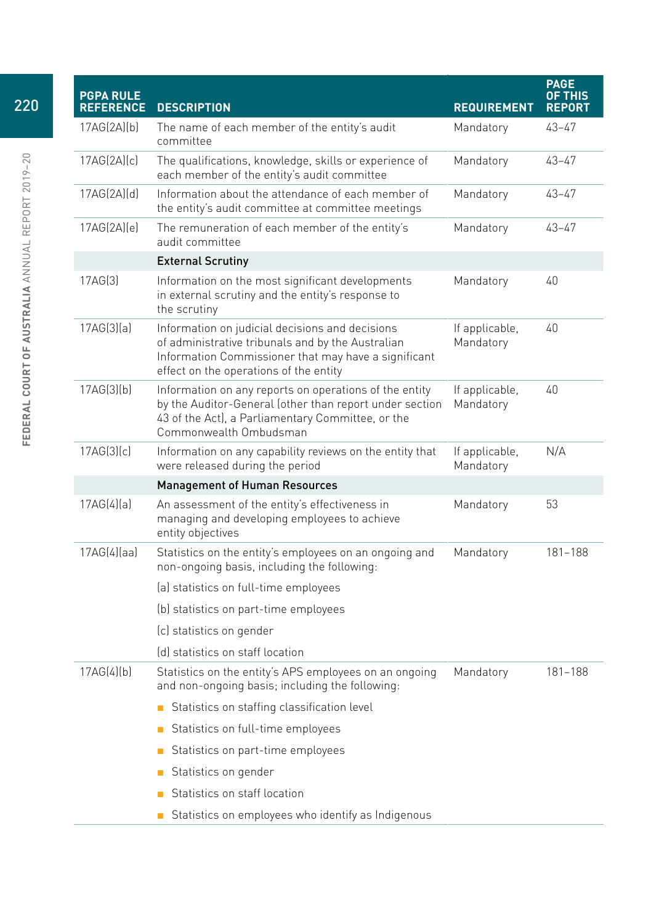| <b>PGPA RULE</b><br><b>REFERENCE</b> | <b>DESCRIPTION</b>                                                                                                                                                                                     | <b>REQUIREMENT</b>          | <b>PAGE</b><br><b>OF THIS</b><br><b>REPORT</b> |
|--------------------------------------|--------------------------------------------------------------------------------------------------------------------------------------------------------------------------------------------------------|-----------------------------|------------------------------------------------|
| 17AG(2A)[b]                          | The name of each member of the entity's audit<br>committee                                                                                                                                             | Mandatory                   | 43–47                                          |
| 17AG(2A)(c)                          | The qualifications, knowledge, skills or experience of<br>each member of the entity's audit committee                                                                                                  | Mandatory                   | 43-47                                          |
| 17AG(2A)(d)                          | Information about the attendance of each member of<br>the entity's audit committee at committee meetings                                                                                               | Mandatory                   | 43-47                                          |
| 17AG(2A)(e)                          | The remuneration of each member of the entity's<br>audit committee                                                                                                                                     | Mandatory                   | 43-47                                          |
|                                      | <b>External Scrutiny</b>                                                                                                                                                                               |                             |                                                |
| 17AG[3]                              | Information on the most significant developments<br>in external scrutiny and the entity's response to<br>the scrutiny                                                                                  | Mandatory                   | 40                                             |
| 17AG(3)(a)                           | Information on judicial decisions and decisions<br>of administrative tribunals and by the Australian<br>Information Commissioner that may have a significant<br>effect on the operations of the entity | If applicable,<br>Mandatory | 40                                             |
| 17AG(3)[b]                           | Information on any reports on operations of the entity<br>by the Auditor-General (other than report under section<br>43 of the Act), a Parliamentary Committee, or the<br>Commonwealth Ombudsman       | If applicable,<br>Mandatory | 40                                             |
| 17AG(3)(c)                           | Information on any capability reviews on the entity that<br>were released during the period                                                                                                            | If applicable,<br>Mandatory | N/A                                            |
|                                      | <b>Management of Human Resources</b>                                                                                                                                                                   |                             |                                                |
| 17AG(4)(a)                           | An assessment of the entity's effectiveness in<br>managing and developing employees to achieve<br>entity objectives                                                                                    | Mandatory                   | 53                                             |
| 17AG(4)(aa)                          | Statistics on the entity's employees on an ongoing and<br>non-ongoing basis, including the following:                                                                                                  | Mandatory                   | 181-188                                        |
|                                      | (a) statistics on full-time employees                                                                                                                                                                  |                             |                                                |
|                                      | (b) statistics on part-time employees                                                                                                                                                                  |                             |                                                |
|                                      | (c) statistics on gender                                                                                                                                                                               |                             |                                                |
|                                      | (d) statistics on staff location                                                                                                                                                                       |                             |                                                |
| 17AG(4)[b]                           | Statistics on the entity's APS employees on an ongoing<br>and non-ongoing basis; including the following:                                                                                              | Mandatory                   | 181-188                                        |
|                                      | Statistics on staffing classification level                                                                                                                                                            |                             |                                                |
|                                      | Statistics on full-time employees<br>$\blacksquare$                                                                                                                                                    |                             |                                                |
|                                      | Statistics on part-time employees<br>П                                                                                                                                                                 |                             |                                                |
|                                      | Statistics on gender<br>$\Box$                                                                                                                                                                         |                             |                                                |
|                                      | Statistics on staff location<br>п                                                                                                                                                                      |                             |                                                |
|                                      | Statistics on employees who identify as Indigenous<br>$\blacksquare$                                                                                                                                   |                             |                                                |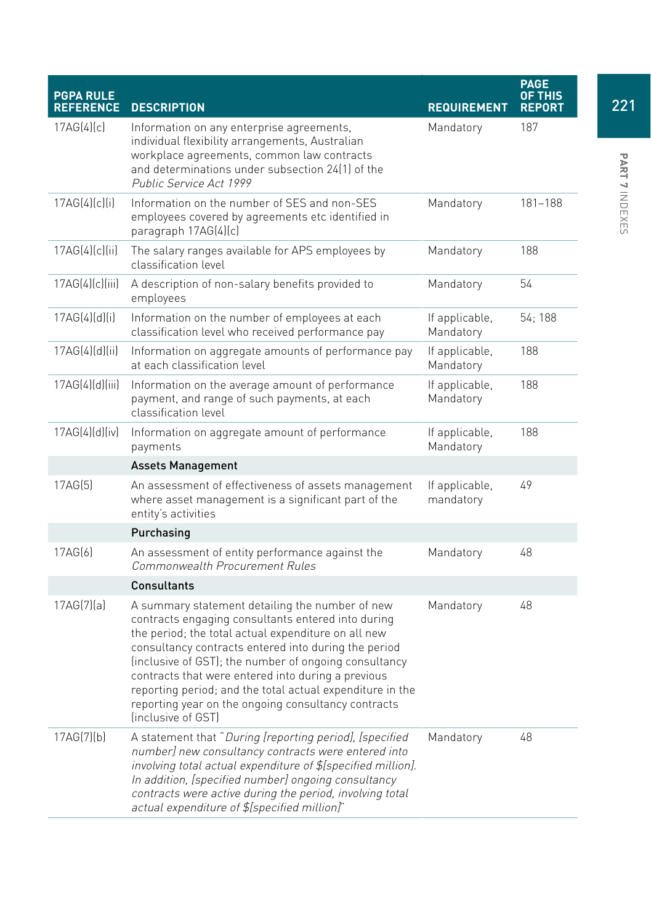| <b>PGPA RULE</b><br><b>REFERENCE</b> | <b>DESCRIPTION</b>                                                                                                                                                                                                                                                                                                                                                                                                                                                            | <b>REQUIREMENT</b>          | <b>PAGE</b><br>OF THIS<br><b>REPORT</b> |
|--------------------------------------|-------------------------------------------------------------------------------------------------------------------------------------------------------------------------------------------------------------------------------------------------------------------------------------------------------------------------------------------------------------------------------------------------------------------------------------------------------------------------------|-----------------------------|-----------------------------------------|
| 17AG(4)(c)                           | Information on any enterprise agreements,<br>individual flexibility arrangements, Australian<br>workplace agreements, common law contracts<br>and determinations under subsection 24(1) of the<br>Public Service Act 1999                                                                                                                                                                                                                                                     | Mandatory                   | 187                                     |
| 17AG(4)(c)(i)                        | Information on the number of SES and non-SES<br>employees covered by agreements etc identified in<br>paragraph 17AG(4)(c)                                                                                                                                                                                                                                                                                                                                                     | Mandatory                   | 181–188                                 |
| 17AG(4)(c)(ii)                       | The salary ranges available for APS employees by<br>classification level                                                                                                                                                                                                                                                                                                                                                                                                      | Mandatory                   | 188                                     |
| 17AG(4)[c][iii]                      | A description of non-salary benefits provided to<br>employees                                                                                                                                                                                                                                                                                                                                                                                                                 | Mandatory                   | 54                                      |
| 17AG(4)(d)(i)                        | Information on the number of employees at each<br>classification level who received performance pay                                                                                                                                                                                                                                                                                                                                                                           | If applicable,<br>Mandatory | 54; 188                                 |
| 17AG(4)(d)(ii)                       | Information on aggregate amounts of performance pay<br>at each classification level                                                                                                                                                                                                                                                                                                                                                                                           | If applicable,<br>Mandatory | 188                                     |
| 17AG(4)(d)(iii)                      | Information on the average amount of performance<br>payment, and range of such payments, at each<br>classification level                                                                                                                                                                                                                                                                                                                                                      | If applicable,<br>Mandatory | 188                                     |
| 17AG(4)(d)(iv)                       | Information on aggregate amount of performance<br>payments                                                                                                                                                                                                                                                                                                                                                                                                                    | If applicable,<br>Mandatory | 188                                     |
|                                      | <b>Assets Management</b>                                                                                                                                                                                                                                                                                                                                                                                                                                                      |                             |                                         |
| 17AG(5)                              | An assessment of effectiveness of assets management<br>where asset management is a significant part of the<br>entity's activities                                                                                                                                                                                                                                                                                                                                             | If applicable,<br>mandatory | 49                                      |
|                                      | Purchasing                                                                                                                                                                                                                                                                                                                                                                                                                                                                    |                             |                                         |
| 17AG(6)                              | An assessment of entity performance against the<br>Commonwealth Procurement Rules                                                                                                                                                                                                                                                                                                                                                                                             | Mandatory                   | 48                                      |
|                                      | Consultants                                                                                                                                                                                                                                                                                                                                                                                                                                                                   |                             |                                         |
| 17AG(7)[a]                           | A summary statement detailing the number of new<br>contracts engaging consultants entered into during<br>the period; the total actual expenditure on all new<br>consultancy contracts entered into during the period<br>(inclusive of GST); the number of ongoing consultancy<br>contracts that were entered into during a previous<br>reporting period; and the total actual expenditure in the<br>reporting year on the ongoing consultancy contracts<br>(inclusive of GST) | Mandatory                   | 48                                      |
| 17AG(7)[b]                           | A statement that "During [reporting period], [specified<br>number] new consultancy contracts were entered into<br>involving total actual expenditure of \$[specified million].<br>In addition, [specified number] ongoing consultancy<br>contracts were active during the period, involving total<br>actual expenditure of \$[specified million]"                                                                                                                             | Mandatory                   | 48                                      |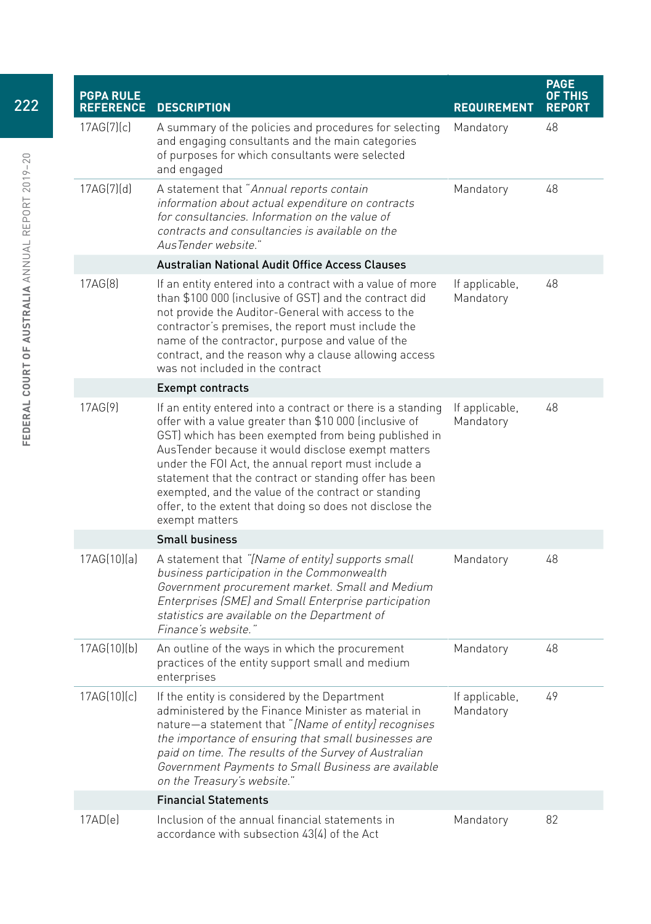| <b>PGPA RULE</b><br><b>REFERENCE</b> | <b>DESCRIPTION</b>                                                                                                                                                                                                                                                                                                                                                                                                                                                                        | <b>REQUIREMENT</b>          | <b>PAGE</b><br>OF THIS<br><b>REPORT</b> |
|--------------------------------------|-------------------------------------------------------------------------------------------------------------------------------------------------------------------------------------------------------------------------------------------------------------------------------------------------------------------------------------------------------------------------------------------------------------------------------------------------------------------------------------------|-----------------------------|-----------------------------------------|
| 17AG(7)[c]                           | A summary of the policies and procedures for selecting<br>and engaging consultants and the main categories<br>of purposes for which consultants were selected<br>and engaged                                                                                                                                                                                                                                                                                                              | Mandatory                   | 48                                      |
| 17AG(7)[d]                           | A statement that "Annual reports contain<br>information about actual expenditure on contracts<br>for consultancies. Information on the value of<br>contracts and consultancies is available on the<br>AusTender website."                                                                                                                                                                                                                                                                 | Mandatory                   | 48                                      |
|                                      | <b>Australian National Audit Office Access Clauses</b>                                                                                                                                                                                                                                                                                                                                                                                                                                    |                             |                                         |
| 17AG(8)                              | If an entity entered into a contract with a value of more<br>than \$100 000 (inclusive of GST) and the contract did<br>not provide the Auditor-General with access to the<br>contractor's premises, the report must include the<br>name of the contractor, purpose and value of the<br>contract, and the reason why a clause allowing access<br>was not included in the contract                                                                                                          | If applicable,<br>Mandatory | 48                                      |
|                                      | <b>Exempt contracts</b>                                                                                                                                                                                                                                                                                                                                                                                                                                                                   |                             |                                         |
| 17AG(9)                              | If an entity entered into a contract or there is a standing<br>offer with a value greater than \$10 000 (inclusive of<br>GST) which has been exempted from being published in<br>AusTender because it would disclose exempt matters<br>under the FOI Act, the annual report must include a<br>statement that the contract or standing offer has been<br>exempted, and the value of the contract or standing<br>offer, to the extent that doing so does not disclose the<br>exempt matters | If applicable,<br>Mandatory | 48                                      |
|                                      | <b>Small business</b>                                                                                                                                                                                                                                                                                                                                                                                                                                                                     |                             |                                         |
| 17AG(10)(a)                          | A statement that "[Name of entity] supports small<br>business participation in the Commonwealth<br>Government procurement market. Small and Medium<br>Enterprises (SME) and Small Enterprise participation<br>statistics are available on the Department of<br>Finance's website."                                                                                                                                                                                                        | Mandatory                   | 48                                      |
| 17AG(10)(b)                          | An outline of the ways in which the procurement<br>practices of the entity support small and medium<br>enterprises                                                                                                                                                                                                                                                                                                                                                                        | Mandatory                   | 48                                      |
| 17AG(10)(c)                          | If the entity is considered by the Department<br>administered by the Finance Minister as material in<br>nature-a statement that "[Name of entity] recognises<br>the importance of ensuring that small businesses are<br>paid on time. The results of the Survey of Australian<br>Government Payments to Small Business are available<br>on the Treasury's website."                                                                                                                       | If applicable,<br>Mandatory | 49                                      |
|                                      | <b>Financial Statements</b>                                                                                                                                                                                                                                                                                                                                                                                                                                                               |                             |                                         |
| 17AD(e)                              | Inclusion of the annual financial statements in<br>accordance with subsection 43(4) of the Act                                                                                                                                                                                                                                                                                                                                                                                            | Mandatory                   | 82                                      |